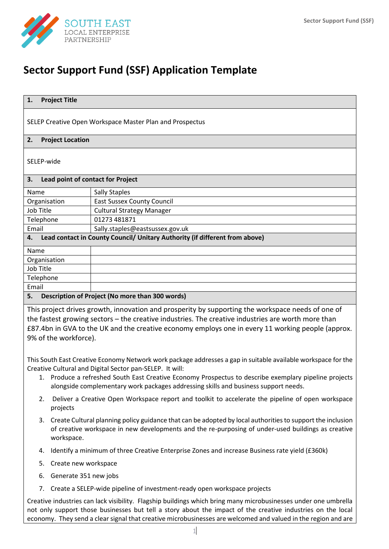

# **Sector Support Fund (SSF) Application Template**

| 1.<br><b>Project Title</b>                                                                         |                                   |  |
|----------------------------------------------------------------------------------------------------|-----------------------------------|--|
| SELEP Creative Open Workspace Master Plan and Prospectus                                           |                                   |  |
| 2.<br><b>Project Location</b>                                                                      |                                   |  |
| SELEP-wide                                                                                         |                                   |  |
| 3.                                                                                                 | Lead point of contact for Project |  |
| Name                                                                                               | <b>Sally Staples</b>              |  |
| Organisation                                                                                       | <b>East Sussex County Council</b> |  |
| Job Title                                                                                          | <b>Cultural Strategy Manager</b>  |  |
| Telephone                                                                                          | 01273 481871                      |  |
| Email                                                                                              | Sally.staples@eastsussex.gov.uk   |  |
| Lead contact in County Council/ Unitary Authority (if different from above)<br>4.                  |                                   |  |
| Name                                                                                               |                                   |  |
| Organisation                                                                                       |                                   |  |
| Job Title                                                                                          |                                   |  |
| Telephone                                                                                          |                                   |  |
| Email                                                                                              |                                   |  |
| Description of Project (No more than 300 words)<br>5.                                              |                                   |  |
| This project drives growth, innovation and prosperity by supporting the workspace needs of one of  |                                   |  |
| the fastest growing sectors – the creative industries. The creative industries are worth more than |                                   |  |

stries. The creative industr £87.4bn in GVA to the UK and the creative economy employs one in every 11 working people (approx. 9% of the workforce).

This South East Creative Economy Network work package addresses a gap in suitable available workspace for the Creative Cultural and Digital Sector pan-SELEP. It will:

- 1. Produce a refreshed South East Creative Economy Prospectus to describe exemplary pipeline projects alongside complementary work packages addressing skills and business support needs.
- 2. Deliver a Creative Open Workspace report and toolkit to accelerate the pipeline of open workspace projects
- 3. Create Cultural planning policy guidance that can be adopted by local authorities to support the inclusion of creative workspace in new developments and the re-purposing of under-used buildings as creative workspace.
- 4. Identify a minimum of three Creative Enterprise Zones and increase Business rate yield (£360k)
- 5. Create new workspace
- 6. Generate 351 new jobs
- 7. Create a SELEP-wide pipeline of investment-ready open workspace projects

Creative industries can lack visibility. Flagship buildings which bring many microbusinesses under one umbrella not only support those businesses but tell a story about the impact of the creative industries on the local economy. They send a clear signal that creative microbusinesses are welcomed and valued in the region and are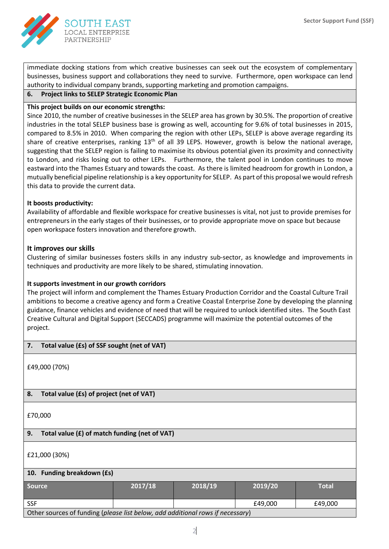

immediate docking stations from which creative businesses can seek out the ecosystem of complementary businesses, business support and collaborations they need to survive. Furthermore, open workspace can lend authority to individual company brands, supporting marketing and promotion campaigns.

**6. Project links to SELEP Strategic Economic Plan**

## **This project builds on our economic strengths:**

Since 2010, the number of creative businesses in the SELEP area has grown by 30.5%. The proportion of creative industries in the total SELEP business base is growing as well, accounting for 9.6% of total businesses in 2015, compared to 8.5% in 2010. When comparing the region with other LEPs, SELEP is above average regarding its share of creative enterprises, ranking 13<sup>th</sup> of all 39 LEPS. However, growth is below the national average, suggesting that the SELEP region is failing to maximise its obvious potential given its proximity and connectivity to London, and risks losing out to other LEPs. Furthermore, the talent pool in London continues to move eastward into the Thames Estuary and towards the coast. As there is limited headroom for growth in London, a mutually beneficial pipeline relationship is a key opportunity for SELEP. As part of this proposal we would refresh this data to provide the current data.

#### **It boosts productivity:**

Availability of affordable and flexible workspace for creative businesses is vital, not just to provide premises for entrepreneurs in the early stages of their businesses, or to provide appropriate move on space but because open workspace fosters innovation and therefore growth.

## **It improves our skills**

Clustering of similar businesses fosters skills in any industry sub-sector, as knowledge and improvements in techniques and productivity are more likely to be shared, stimulating innovation.

# **It supports investment in our growth corridors**

The project will inform and complement the Thames Estuary Production Corridor and the Coastal Culture Trail ambitions to become a creative agency and form a Creative Coastal Enterprise Zone by developing the planning guidance, finance vehicles and evidence of need that will be required to unlock identified sites. The South East Creative Cultural and Digital Support (SECCADS) programme will maximize the potential outcomes of the project.

#### **7. Total value (£s) of SSF sought (net of VAT)**

£49,000 (70%)

# **8. Total value (£s) of project (net of VAT)**

£70,000

# **9. Total value (£) of match funding (net of VAT)**

£21,000 (30%)

#### **10. Funding breakdown (£s)**

| <b>Source</b>                                                                  | 2017/18 | 2018/19 | 2019/20 | Total   |
|--------------------------------------------------------------------------------|---------|---------|---------|---------|
| <b>SSF</b>                                                                     |         |         | £49.000 | £49.000 |
| Other sources of funding (please list below, add additional rows if necessary) |         |         |         |         |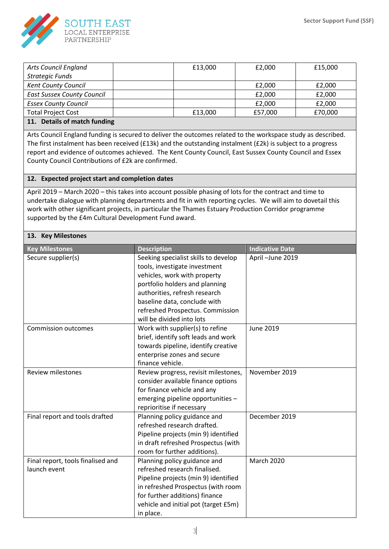

| <b>Arts Council England</b>       | £13,000 | £2,000  | £15,000 |
|-----------------------------------|---------|---------|---------|
| Strategic Funds                   |         |         |         |
| <b>Kent County Council</b>        |         | £2,000  | £2,000  |
| <b>East Sussex County Council</b> |         | £2,000  | £2,000  |
| <b>Essex County Council</b>       |         | £2,000  | £2,000  |
| <b>Total Project Cost</b>         | £13,000 | £57,000 | £70,000 |
| 11 Details of match funding       |         |         |         |

#### **11. Details of match funding**

Arts Council England funding is secured to deliver the outcomes related to the workspace study as described. The first instalment has been received (£13k) and the outstanding instalment (£2k) is subject to a progress report and evidence of outcomes achieved. The Kent County Council, East Sussex County Council and Essex County Council Contributions of £2k are confirmed.

## **12. Expected project start and completion dates**

April 2019 – March 2020 – this takes into account possible phasing of lots for the contract and time to undertake dialogue with planning departments and fit in with reporting cycles. We will aim to dovetail this work with other significant projects, in particular the Thames Estuary Production Corridor programme supported by the £4m Cultural Development Fund award.

#### **13. Key Milestones**

| <b>Key Milestones</b>             | <b>Description</b>                   | <b>Indicative Date</b> |
|-----------------------------------|--------------------------------------|------------------------|
| Secure supplier(s)                | Seeking specialist skills to develop | April-June 2019        |
|                                   | tools, investigate investment        |                        |
|                                   | vehicles, work with property         |                        |
|                                   | portfolio holders and planning       |                        |
|                                   | authorities, refresh research        |                        |
|                                   | baseline data, conclude with         |                        |
|                                   | refreshed Prospectus. Commission     |                        |
|                                   | will be divided into lots            |                        |
| <b>Commission outcomes</b>        | Work with supplier(s) to refine      | June 2019              |
|                                   | brief, identify soft leads and work  |                        |
|                                   | towards pipeline, identify creative  |                        |
|                                   | enterprise zones and secure          |                        |
|                                   | finance vehicle.                     |                        |
| <b>Review milestones</b>          | Review progress, revisit milestones, | November 2019          |
|                                   | consider available finance options   |                        |
|                                   | for finance vehicle and any          |                        |
|                                   | emerging pipeline opportunities -    |                        |
|                                   | reprioritise if necessary            |                        |
| Final report and tools drafted    | Planning policy guidance and         | December 2019          |
|                                   | refreshed research drafted.          |                        |
|                                   | Pipeline projects (min 9) identified |                        |
|                                   | in draft refreshed Prospectus (with  |                        |
|                                   | room for further additions).         |                        |
| Final report, tools finalised and | Planning policy guidance and         | <b>March 2020</b>      |
| launch event                      | refreshed research finalised.        |                        |
|                                   | Pipeline projects (min 9) identified |                        |
|                                   | in refreshed Prospectus (with room   |                        |
|                                   | for further additions) finance       |                        |
|                                   | vehicle and initial pot (target £5m) |                        |
|                                   | in place.                            |                        |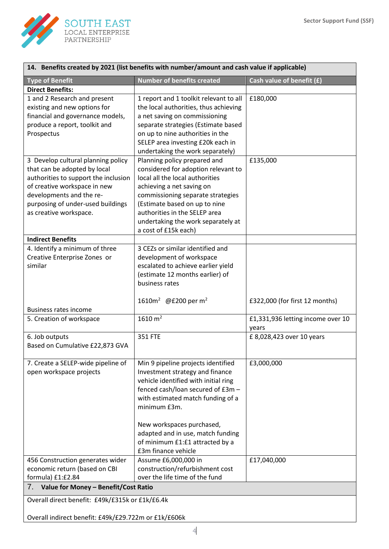

| 14. Benefits created by 2021 (list benefits with number/amount and cash value if applicable) |                                        |                                    |  |
|----------------------------------------------------------------------------------------------|----------------------------------------|------------------------------------|--|
| <b>Type of Benefit</b>                                                                       | <b>Number of benefits created</b>      | Cash value of benefit (£)          |  |
| <b>Direct Benefits:</b>                                                                      |                                        |                                    |  |
| 1 and 2 Research and present                                                                 | 1 report and 1 toolkit relevant to all | £180,000                           |  |
| existing and new options for                                                                 | the local authorities, thus achieving  |                                    |  |
| financial and governance models,                                                             | a net saving on commissioning          |                                    |  |
| produce a report, toolkit and                                                                | separate strategies (Estimate based    |                                    |  |
| Prospectus                                                                                   | on up to nine authorities in the       |                                    |  |
|                                                                                              | SELEP area investing £20k each in      |                                    |  |
|                                                                                              | undertaking the work separately)       |                                    |  |
| 3 Develop cultural planning policy                                                           | Planning policy prepared and           | £135,000                           |  |
| that can be adopted by local                                                                 | considered for adoption relevant to    |                                    |  |
| authorities to support the inclusion                                                         | local all the local authorities        |                                    |  |
| of creative workspace in new                                                                 | achieving a net saving on              |                                    |  |
| developments and the re-                                                                     | commissioning separate strategies      |                                    |  |
| purposing of under-used buildings                                                            | (Estimate based on up to nine          |                                    |  |
| as creative workspace.                                                                       | authorities in the SELEP area          |                                    |  |
|                                                                                              | undertaking the work separately at     |                                    |  |
|                                                                                              | a cost of £15k each)                   |                                    |  |
| <b>Indirect Benefits</b>                                                                     |                                        |                                    |  |
| 4. Identify a minimum of three                                                               | 3 CEZs or similar identified and       |                                    |  |
| Creative Enterprise Zones or                                                                 | development of workspace               |                                    |  |
| similar                                                                                      | escalated to achieve earlier yield     |                                    |  |
|                                                                                              | (estimate 12 months earlier) of        |                                    |  |
|                                                                                              | business rates                         |                                    |  |
|                                                                                              |                                        |                                    |  |
|                                                                                              | 1610 $m^2$ @£200 per m <sup>2</sup>    | £322,000 (for first 12 months)     |  |
| <b>Business rates income</b>                                                                 |                                        |                                    |  |
| 5. Creation of workspace                                                                     | 1610 $m2$                              | £1,331,936 letting income over 10  |  |
|                                                                                              | <b>351 FTE</b>                         | years<br>£ 8,028,423 over 10 years |  |
| 6. Job outputs<br>Based on Cumulative £22,873 GVA                                            |                                        |                                    |  |
|                                                                                              |                                        |                                    |  |
| 7. Create a SELEP-wide pipeline of                                                           | Min 9 pipeline projects identified     | £3,000,000                         |  |
| open workspace projects                                                                      | Investment strategy and finance        |                                    |  |
|                                                                                              | vehicle identified with initial ring   |                                    |  |
|                                                                                              | fenced cash/loan secured of £3m -      |                                    |  |
|                                                                                              | with estimated match funding of a      |                                    |  |
|                                                                                              | minimum £3m.                           |                                    |  |
|                                                                                              |                                        |                                    |  |
|                                                                                              | New workspaces purchased,              |                                    |  |
|                                                                                              | adapted and in use, match funding      |                                    |  |
|                                                                                              | of minimum £1:£1 attracted by a        |                                    |  |
|                                                                                              | £3m finance vehicle                    |                                    |  |
| 456 Construction generates wider                                                             | Assume £6,000,000 in                   | £17,040,000                        |  |
| economic return (based on CBI                                                                | construction/refurbishment cost        |                                    |  |
| formula) £1:£2.84                                                                            | over the life time of the fund         |                                    |  |
| Value for Money - Benefit/Cost Ratio<br>7.                                                   |                                        |                                    |  |
| Overall direct benefit: £49k/£315k or £1k/£6.4k                                              |                                        |                                    |  |
|                                                                                              |                                        |                                    |  |
| Overall indirect benefit: £49k/£29.722m or £1k/£606k                                         |                                        |                                    |  |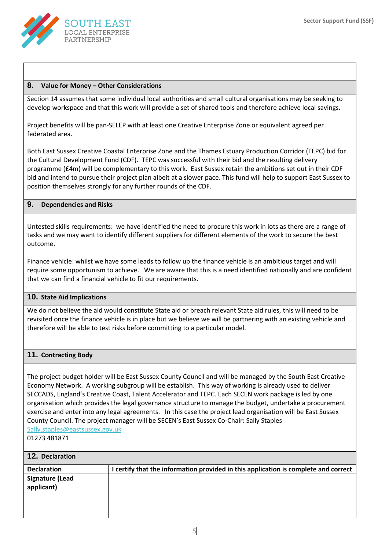

#### **8. Value for Money – Other Considerations**

Section 14 assumes that some individual local authorities and small cultural organisations may be seeking to develop workspace and that this work will provide a set of shared tools and therefore achieve local savings.

Project benefits will be pan-SELEP with at least one Creative Enterprise Zone or equivalent agreed per federated area.

Both East Sussex Creative Coastal Enterprise Zone and the Thames Estuary Production Corridor (TEPC) bid for the Cultural Development Fund (CDF). TEPC was successful with their bid and the resulting delivery programme (£4m) will be complementary to this work. East Sussex retain the ambitions set out in their CDF bid and intend to pursue their project plan albeit at a slower pace. This fund will help to support East Sussex to position themselves strongly for any further rounds of the CDF.

#### **9. Dependencies and Risks**

Untested skills requirements: we have identified the need to procure this work in lots as there are a range of tasks and we may want to identify different suppliers for different elements of the work to secure the best outcome.

Finance vehicle: whilst we have some leads to follow up the finance vehicle is an ambitious target and will require some opportunism to achieve. We are aware that this is a need identified nationally and are confident that we can find a financial vehicle to fit our requirements.

#### **10. State Aid Implications**

We do not believe the aid would constitute State aid or breach relevant State aid rules, this will need to be revisited once the finance vehicle is in place but we believe we will be partnering with an existing vehicle and therefore will be able to test risks before committing to a particular model.

#### **11. Contracting Body**

The project budget holder will be East Sussex County Council and will be managed by the South East Creative Economy Network. A working subgroup will be establish. This way of working is already used to deliver SECCADS, England's Creative Coast, Talent Accelerator and TEPC. Each SECEN work package is led by one organisation which provides the legal governance structure to manage the budget, undertake a procurement exercise and enter into any legal agreements. In this case the project lead organisation will be East Sussex County Council. The project manager will be SECEN's East Sussex Co-Chair: Sally Staples [Sally.staples@eastsussex.gov.uk](mailto:Sally.staples@eastsussex.gov.uk)

01273 481871

| 12. Declaration                      |                                                                                     |
|--------------------------------------|-------------------------------------------------------------------------------------|
| <b>Declaration</b>                   | I certify that the information provided in this application is complete and correct |
| <b>Signature (Lead</b><br>applicant) |                                                                                     |